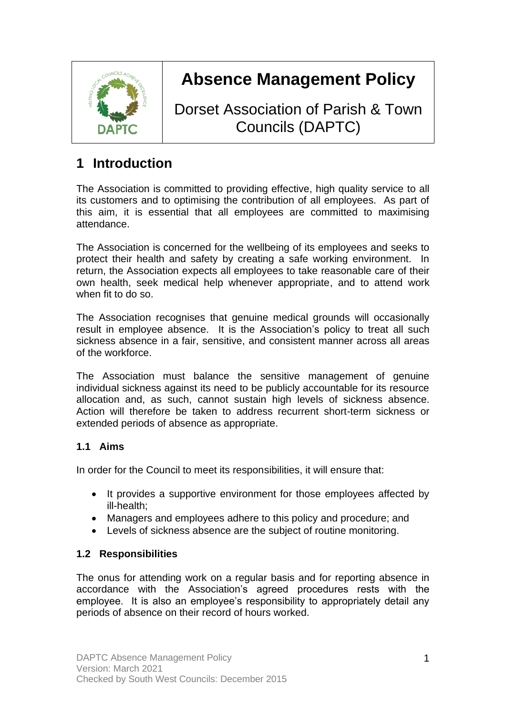

# **Absence Management Policy**

Dorset Association of Parish & Town Councils (DAPTC)

# **1 Introduction**

The Association is committed to providing effective, high quality service to all its customers and to optimising the contribution of all employees. As part of this aim, it is essential that all employees are committed to maximising attendance.

The Association is concerned for the wellbeing of its employees and seeks to protect their health and safety by creating a safe working environment. In return, the Association expects all employees to take reasonable care of their own health, seek medical help whenever appropriate, and to attend work when fit to do so.

The Association recognises that genuine medical grounds will occasionally result in employee absence. It is the Association's policy to treat all such sickness absence in a fair, sensitive, and consistent manner across all areas of the workforce.

The Association must balance the sensitive management of genuine individual sickness against its need to be publicly accountable for its resource allocation and, as such, cannot sustain high levels of sickness absence. Action will therefore be taken to address recurrent short-term sickness or extended periods of absence as appropriate.

#### **1.1 Aims**

In order for the Council to meet its responsibilities, it will ensure that:

- It provides a supportive environment for those employees affected by ill-health;
- Managers and employees adhere to this policy and procedure; and
- Levels of sickness absence are the subject of routine monitoring.

#### **1.2 Responsibilities**

The onus for attending work on a regular basis and for reporting absence in accordance with the Association's agreed procedures rests with the employee. It is also an employee's responsibility to appropriately detail any periods of absence on their record of hours worked.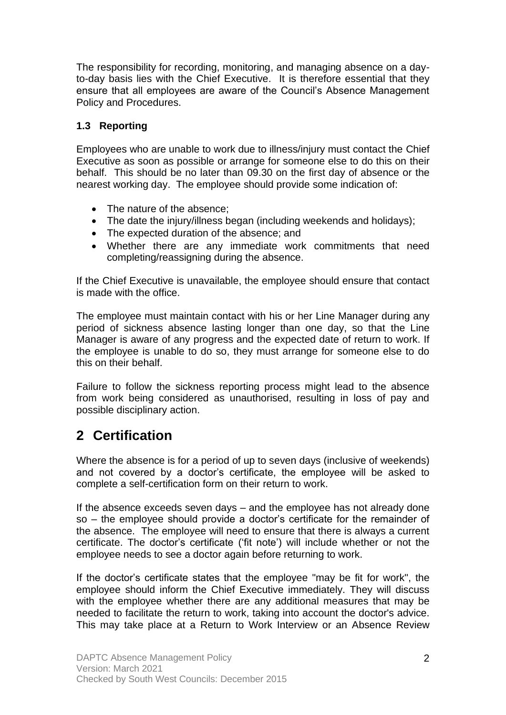The responsibility for recording, monitoring, and managing absence on a dayto-day basis lies with the Chief Executive. It is therefore essential that they ensure that all employees are aware of the Council's Absence Management Policy and Procedures.

#### **1.3 Reporting**

Employees who are unable to work due to illness/injury must contact the Chief Executive as soon as possible or arrange for someone else to do this on their behalf. This should be no later than 09.30 on the first day of absence or the nearest working day. The employee should provide some indication of:

- The nature of the absence;
- The date the injury/illness began (including weekends and holidays);
- The expected duration of the absence; and
- Whether there are any immediate work commitments that need completing/reassigning during the absence.

If the Chief Executive is unavailable, the employee should ensure that contact is made with the office.

The employee must maintain contact with his or her Line Manager during any period of sickness absence lasting longer than one day, so that the Line Manager is aware of any progress and the expected date of return to work. If the employee is unable to do so, they must arrange for someone else to do this on their behalf.

Failure to follow the sickness reporting process might lead to the absence from work being considered as unauthorised, resulting in loss of pay and possible disciplinary action.

#### **2 Certification**

Where the absence is for a period of up to seven days (inclusive of weekends) and not covered by a doctor's certificate, the employee will be asked to complete a self-certification form on their return to work.

If the absence exceeds seven days – and the employee has not already done so – the employee should provide a doctor's certificate for the remainder of the absence. The employee will need to ensure that there is always a current certificate. The doctor's certificate ('fit note') will include whether or not the employee needs to see a doctor again before returning to work.

If the doctor's certificate states that the employee "may be fit for work", the employee should inform the Chief Executive immediately. They will discuss with the employee whether there are any additional measures that may be needed to facilitate the return to work, taking into account the doctor's advice. This may take place at a Return to Work Interview or an Absence Review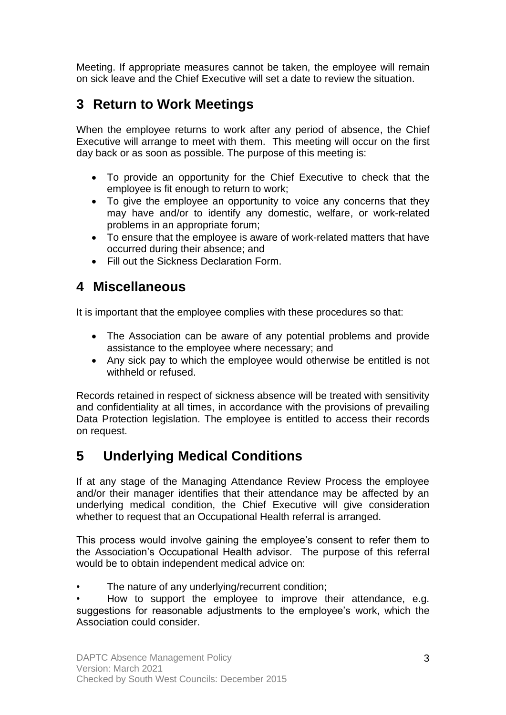Meeting. If appropriate measures cannot be taken, the employee will remain on sick leave and the Chief Executive will set a date to review the situation.

## **3 Return to Work Meetings**

When the employee returns to work after any period of absence, the Chief Executive will arrange to meet with them. This meeting will occur on the first day back or as soon as possible. The purpose of this meeting is:

- To provide an opportunity for the Chief Executive to check that the employee is fit enough to return to work;
- To give the employee an opportunity to voice any concerns that they may have and/or to identify any domestic, welfare, or work-related problems in an appropriate forum;
- To ensure that the employee is aware of work-related matters that have occurred during their absence; and
- Fill out the Sickness Declaration Form.

#### **4 Miscellaneous**

It is important that the employee complies with these procedures so that:

- The Association can be aware of any potential problems and provide assistance to the employee where necessary; and
- Any sick pay to which the employee would otherwise be entitled is not withheld or refused.

Records retained in respect of sickness absence will be treated with sensitivity and confidentiality at all times, in accordance with the provisions of prevailing Data Protection legislation. The employee is entitled to access their records on request.

### **5 Underlying Medical Conditions**

If at any stage of the Managing Attendance Review Process the employee and/or their manager identifies that their attendance may be affected by an underlying medical condition, the Chief Executive will give consideration whether to request that an Occupational Health referral is arranged.

This process would involve gaining the employee's consent to refer them to the Association's Occupational Health advisor. The purpose of this referral would be to obtain independent medical advice on:

The nature of any underlying/recurrent condition;

• How to support the employee to improve their attendance, e.g. suggestions for reasonable adjustments to the employee's work, which the Association could consider.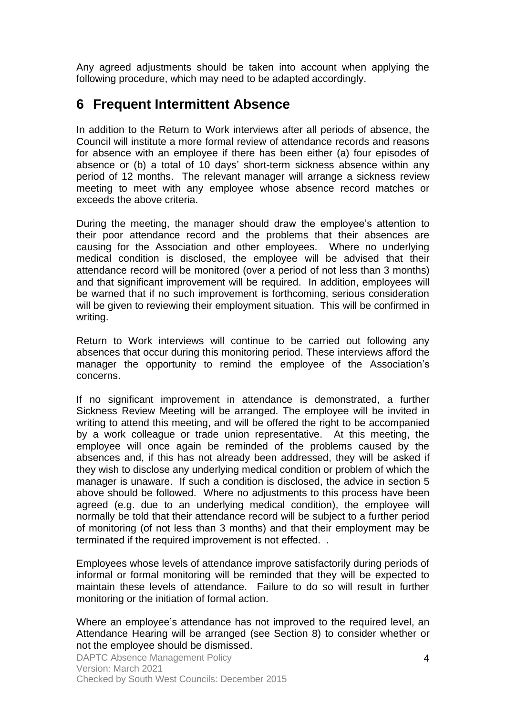Any agreed adjustments should be taken into account when applying the following procedure, which may need to be adapted accordingly.

#### **6 Frequent Intermittent Absence**

In addition to the Return to Work interviews after all periods of absence, the Council will institute a more formal review of attendance records and reasons for absence with an employee if there has been either (a) four episodes of absence or (b) a total of 10 days' short-term sickness absence within any period of 12 months. The relevant manager will arrange a sickness review meeting to meet with any employee whose absence record matches or exceeds the above criteria.

During the meeting, the manager should draw the employee's attention to their poor attendance record and the problems that their absences are causing for the Association and other employees. Where no underlying medical condition is disclosed, the employee will be advised that their attendance record will be monitored (over a period of not less than 3 months) and that significant improvement will be required. In addition, employees will be warned that if no such improvement is forthcoming, serious consideration will be given to reviewing their employment situation. This will be confirmed in writing.

Return to Work interviews will continue to be carried out following any absences that occur during this monitoring period. These interviews afford the manager the opportunity to remind the employee of the Association's concerns.

If no significant improvement in attendance is demonstrated, a further Sickness Review Meeting will be arranged. The employee will be invited in writing to attend this meeting, and will be offered the right to be accompanied by a work colleague or trade union representative. At this meeting, the employee will once again be reminded of the problems caused by the absences and, if this has not already been addressed, they will be asked if they wish to disclose any underlying medical condition or problem of which the manager is unaware. If such a condition is disclosed, the advice in section 5 above should be followed. Where no adjustments to this process have been agreed (e.g. due to an underlying medical condition), the employee will normally be told that their attendance record will be subject to a further period of monitoring (of not less than 3 months) and that their employment may be terminated if the required improvement is not effected. .

Employees whose levels of attendance improve satisfactorily during periods of informal or formal monitoring will be reminded that they will be expected to maintain these levels of attendance. Failure to do so will result in further monitoring or the initiation of formal action.

Where an employee's attendance has not improved to the required level, an Attendance Hearing will be arranged (see Section 8) to consider whether or not the employee should be dismissed.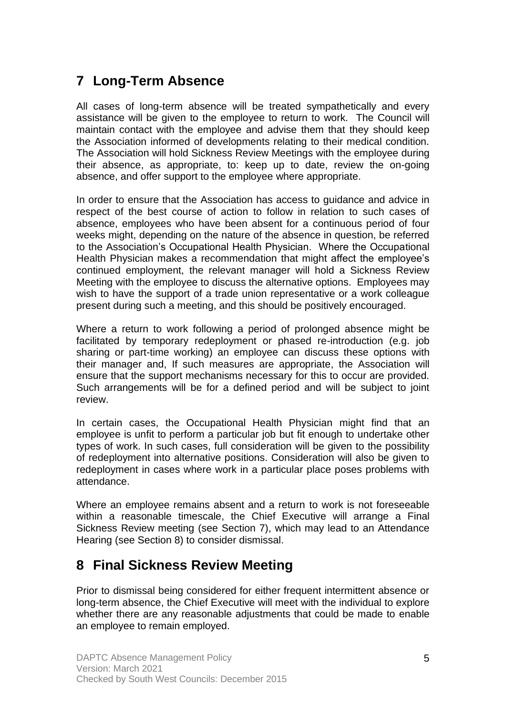# **7 Long-Term Absence**

All cases of long-term absence will be treated sympathetically and every assistance will be given to the employee to return to work. The Council will maintain contact with the employee and advise them that they should keep the Association informed of developments relating to their medical condition. The Association will hold Sickness Review Meetings with the employee during their absence, as appropriate, to: keep up to date, review the on-going absence, and offer support to the employee where appropriate.

In order to ensure that the Association has access to guidance and advice in respect of the best course of action to follow in relation to such cases of absence, employees who have been absent for a continuous period of four weeks might, depending on the nature of the absence in question, be referred to the Association's Occupational Health Physician. Where the Occupational Health Physician makes a recommendation that might affect the employee's continued employment, the relevant manager will hold a Sickness Review Meeting with the employee to discuss the alternative options. Employees may wish to have the support of a trade union representative or a work colleague present during such a meeting, and this should be positively encouraged.

Where a return to work following a period of prolonged absence might be facilitated by temporary redeployment or phased re-introduction (e.g. job sharing or part-time working) an employee can discuss these options with their manager and, If such measures are appropriate, the Association will ensure that the support mechanisms necessary for this to occur are provided. Such arrangements will be for a defined period and will be subject to joint review.

In certain cases, the Occupational Health Physician might find that an employee is unfit to perform a particular job but fit enough to undertake other types of work. In such cases, full consideration will be given to the possibility of redeployment into alternative positions. Consideration will also be given to redeployment in cases where work in a particular place poses problems with attendance.

Where an employee remains absent and a return to work is not foreseeable within a reasonable timescale, the Chief Executive will arrange a Final Sickness Review meeting (see Section 7), which may lead to an Attendance Hearing (see Section 8) to consider dismissal.

# **8 Final Sickness Review Meeting**

Prior to dismissal being considered for either frequent intermittent absence or long-term absence, the Chief Executive will meet with the individual to explore whether there are any reasonable adjustments that could be made to enable an employee to remain employed.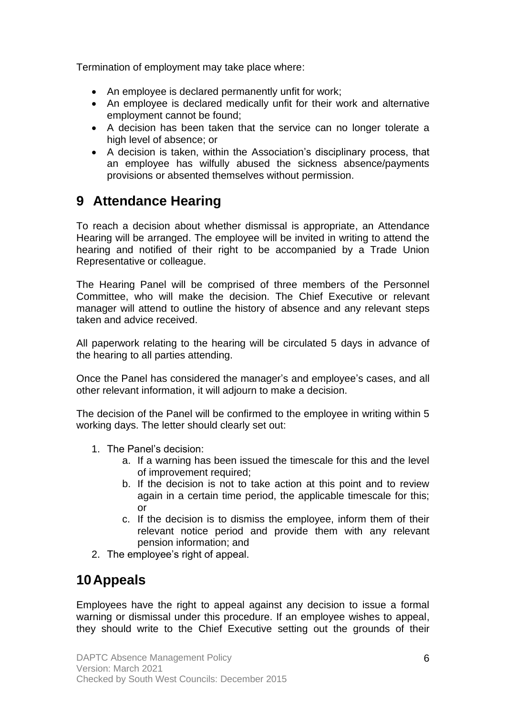Termination of employment may take place where:

- An employee is declared permanently unfit for work;
- An employee is declared medically unfit for their work and alternative employment cannot be found;
- A decision has been taken that the service can no longer tolerate a high level of absence; or
- A decision is taken, within the Association's disciplinary process, that an employee has wilfully abused the sickness absence/payments provisions or absented themselves without permission.

## **9 Attendance Hearing**

To reach a decision about whether dismissal is appropriate, an Attendance Hearing will be arranged. The employee will be invited in writing to attend the hearing and notified of their right to be accompanied by a Trade Union Representative or colleague.

The Hearing Panel will be comprised of three members of the Personnel Committee, who will make the decision. The Chief Executive or relevant manager will attend to outline the history of absence and any relevant steps taken and advice received.

All paperwork relating to the hearing will be circulated 5 days in advance of the hearing to all parties attending.

Once the Panel has considered the manager's and employee's cases, and all other relevant information, it will adjourn to make a decision.

The decision of the Panel will be confirmed to the employee in writing within 5 working days. The letter should clearly set out:

- 1. The Panel's decision:
	- a. If a warning has been issued the timescale for this and the level of improvement required;
	- b. If the decision is not to take action at this point and to review again in a certain time period, the applicable timescale for this; or
	- c. If the decision is to dismiss the employee, inform them of their relevant notice period and provide them with any relevant pension information; and
- 2. The employee's right of appeal.

### **10Appeals**

Employees have the right to appeal against any decision to issue a formal warning or dismissal under this procedure. If an employee wishes to appeal, they should write to the Chief Executive setting out the grounds of their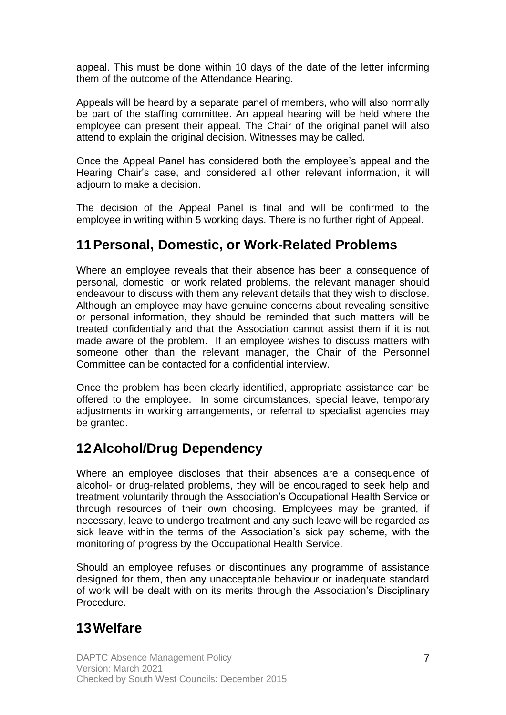appeal. This must be done within 10 days of the date of the letter informing them of the outcome of the Attendance Hearing.

Appeals will be heard by a separate panel of members, who will also normally be part of the staffing committee. An appeal hearing will be held where the employee can present their appeal. The Chair of the original panel will also attend to explain the original decision. Witnesses may be called.

Once the Appeal Panel has considered both the employee's appeal and the Hearing Chair's case, and considered all other relevant information, it will adjourn to make a decision.

The decision of the Appeal Panel is final and will be confirmed to the employee in writing within 5 working days. There is no further right of Appeal.

#### **11Personal, Domestic, or Work-Related Problems**

Where an employee reveals that their absence has been a consequence of personal, domestic, or work related problems, the relevant manager should endeavour to discuss with them any relevant details that they wish to disclose. Although an employee may have genuine concerns about revealing sensitive or personal information, they should be reminded that such matters will be treated confidentially and that the Association cannot assist them if it is not made aware of the problem. If an employee wishes to discuss matters with someone other than the relevant manager, the Chair of the Personnel Committee can be contacted for a confidential interview.

Once the problem has been clearly identified, appropriate assistance can be offered to the employee. In some circumstances, special leave, temporary adjustments in working arrangements, or referral to specialist agencies may be granted.

### **12Alcohol/Drug Dependency**

Where an employee discloses that their absences are a consequence of alcohol- or drug-related problems, they will be encouraged to seek help and treatment voluntarily through the Association's Occupational Health Service or through resources of their own choosing. Employees may be granted, if necessary, leave to undergo treatment and any such leave will be regarded as sick leave within the terms of the Association's sick pay scheme, with the monitoring of progress by the Occupational Health Service.

Should an employee refuses or discontinues any programme of assistance designed for them, then any unacceptable behaviour or inadequate standard of work will be dealt with on its merits through the Association's Disciplinary Procedure.

### **13Welfare**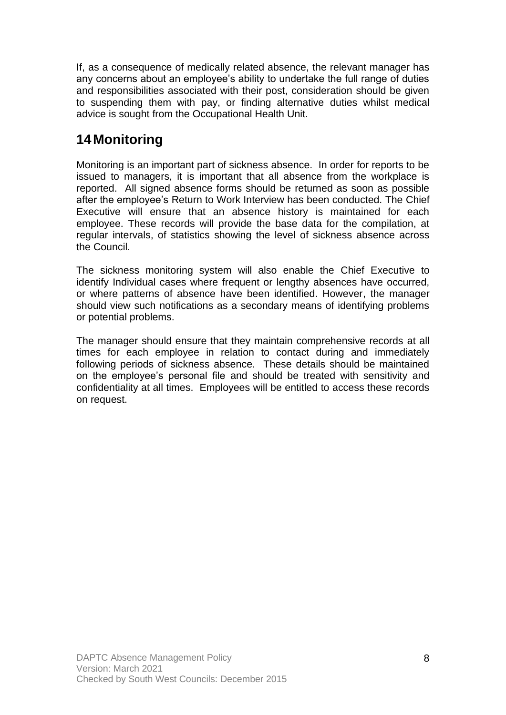If, as a consequence of medically related absence, the relevant manager has any concerns about an employee's ability to undertake the full range of duties and responsibilities associated with their post, consideration should be given to suspending them with pay, or finding alternative duties whilst medical advice is sought from the Occupational Health Unit.

# **14Monitoring**

Monitoring is an important part of sickness absence. In order for reports to be issued to managers, it is important that all absence from the workplace is reported. All signed absence forms should be returned as soon as possible after the employee's Return to Work Interview has been conducted. The Chief Executive will ensure that an absence history is maintained for each employee. These records will provide the base data for the compilation, at regular intervals, of statistics showing the level of sickness absence across the Council.

The sickness monitoring system will also enable the Chief Executive to identify Individual cases where frequent or lengthy absences have occurred, or where patterns of absence have been identified. However, the manager should view such notifications as a secondary means of identifying problems or potential problems.

The manager should ensure that they maintain comprehensive records at all times for each employee in relation to contact during and immediately following periods of sickness absence. These details should be maintained on the employee's personal file and should be treated with sensitivity and confidentiality at all times. Employees will be entitled to access these records on request.